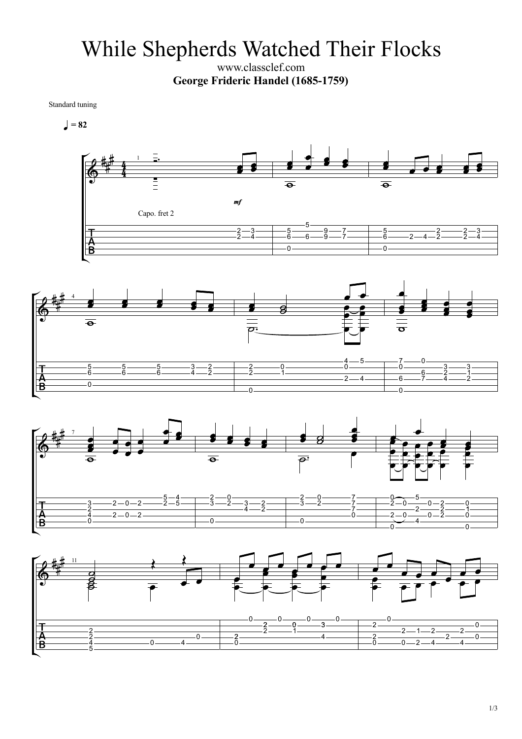## While Shepherds Watched Their Flocks

www.classclef.com **George Frideric Handel (1685-1759)**

Standard tuning









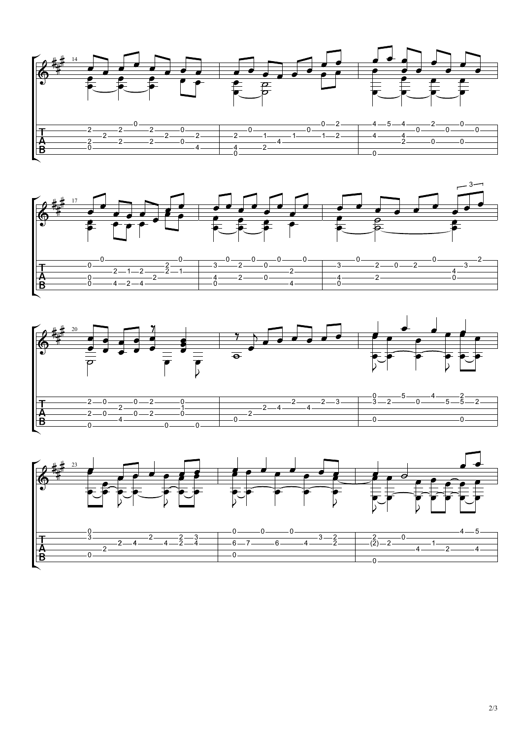